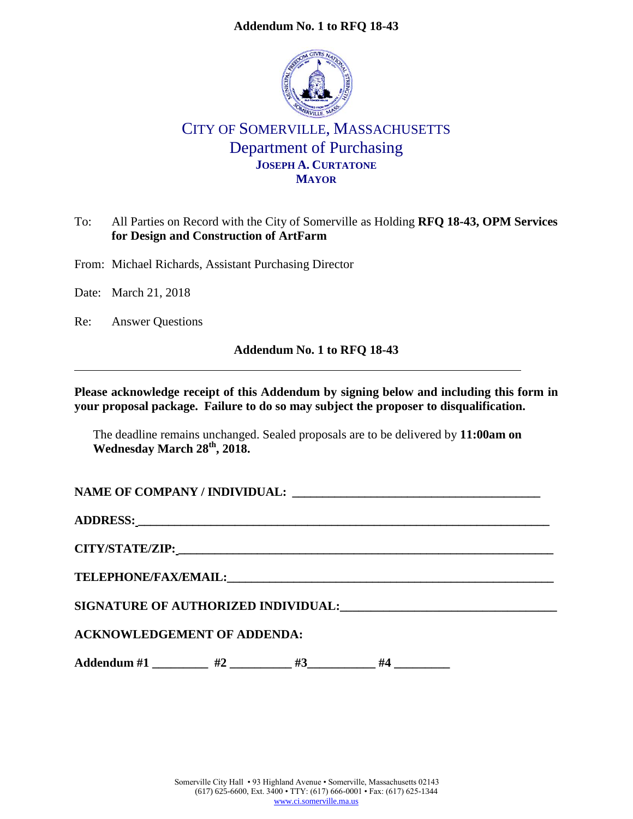#### **Addendum No. 1 to RFQ 18-43**



# CITY OF SOMERVILLE, MASSACHUSETTS Department of Purchasing **JOSEPH A. CURTATONE MAYOR**

# To: All Parties on Record with the City of Somerville as Holding **RFQ 18-43, OPM Services for Design and Construction of ArtFarm**

From: Michael Richards, Assistant Purchasing Director

Date: March 21, 2018

Re: Answer Questions

# **Addendum No. 1 to RFQ 18-43**

#### **Please acknowledge receipt of this Addendum by signing below and including this form in your proposal package. Failure to do so may subject the proposer to disqualification.**

The deadline remains unchanged. Sealed proposals are to be delivered by **11:00am on Wednesday March 28th, 2018.**

NAME OF COMPANY / INDIVIDUAL:

**ADDRESS: \_\_\_\_\_\_\_\_\_\_\_\_\_\_\_\_\_\_\_\_\_\_\_\_\_\_\_\_\_\_\_\_\_\_\_\_\_\_\_\_\_\_\_\_\_\_\_\_\_\_\_\_\_\_\_\_\_\_\_\_\_\_\_\_\_\_\_\_**

**CITY/STATE/ZIP: \_\_\_\_\_\_\_\_\_\_\_\_\_\_\_\_\_\_\_\_\_\_\_\_\_\_\_\_\_\_\_\_\_\_\_\_\_\_\_\_\_\_\_\_\_\_\_\_\_\_\_\_\_\_\_\_\_\_\_\_\_\_**

**TELEPHONE/FAX/EMAIL:\_\_\_\_\_\_\_\_\_\_\_\_\_\_\_\_\_\_\_\_\_\_\_\_\_\_\_\_\_\_\_\_\_\_\_\_\_\_\_\_\_\_\_\_\_\_\_\_\_\_\_\_\_\_**

**SIGNATURE OF AUTHORIZED INDIVIDUAL:\_\_\_\_\_\_\_\_\_\_\_\_\_\_\_\_\_\_\_\_\_\_\_\_\_\_\_\_\_\_\_\_\_\_\_**

# **ACKNOWLEDGEMENT OF ADDENDA:**

Addendum #1 \_\_\_\_\_\_\_\_ #2 \_\_\_\_\_\_\_\_ #3 \_\_\_\_\_\_\_ #4 \_\_\_\_\_\_\_\_